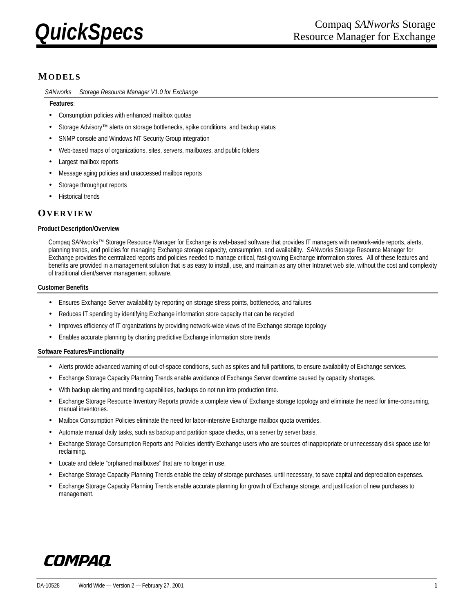

# **MODELS**

SANworks<sup>™</sup> Storage Resource Manager V1.0 for Exchange

# **Features**:

- Consumption policies with enhanced mailbox quotas
- Storage Advisory™ alerts on storage bottlenecks, spike conditions, and backup status
- SNMP console and Windows NT Security Group integration
- Web-based maps of organizations, sites, servers, mailboxes, and public folders
- Largest mailbox reports
- Message aging policies and unaccessed mailbox reports
- Storage throughput reports
- Historical trends

# **OVERVIEW**

### **Product Description/Overview**

Compaq SANworks™ Storage Resource Manager for Exchange is web-based software that provides IT managers with network-wide reports, alerts, planning trends, and policies for managing Exchange storage capacity, consumption, and availability. SANworks Storage Resource Manager for Exchange provides the centralized reports and policies needed to manage critical, fast-growing Exchange information stores. All of these features and benefits are provided in a management solution that is as easy to install, use, and maintain as any other Intranet web site, without the cost and complexity of traditional client/server management software.

# **Customer Benefits**

- Ensures Exchange Server availability by reporting on storage stress points, bottlenecks, and failures
- Reduces IT spending by identifying Exchange information store capacity that can be recycled
- Improves efficiency of IT organizations by providing network-wide views of the Exchange storage topology
- Enables accurate planning by charting predictive Exchange information store trends

# **Software Features/Functionality**

- Alerts provide advanced warning of out-of-space conditions, such as spikes and full partitions, to ensure availability of Exchange services.
- Exchange Storage Capacity Planning Trends enable avoidance of Exchange Server downtime caused by capacity shortages.
- With backup alerting and trending capabilities, backups do not run into production time.
- Exchange Storage Resource Inventory Reports provide a complete view of Exchange storage topology and eliminate the need for time-consuming, manual inventories.
- Mailbox Consumption Policies eliminate the need for labor-intensive Exchange mailbox quota overrides.
- Automate manual daily tasks, such as backup and partition space checks, on a server by server basis.
- Exchange Storage Consumption Reports and Policies identify Exchange users who are sources of inappropriate or unnecessary disk space use for reclaiming.
- Locate and delete "orphaned mailboxes" that are no longer in use.
- Exchange Storage Capacity Planning Trends enable the delay of storage purchases, until necessary, to save capital and depreciation expenses.
- Exchange Storage Capacity Planning Trends enable accurate planning for growth of Exchange storage, and justification of new purchases to management.

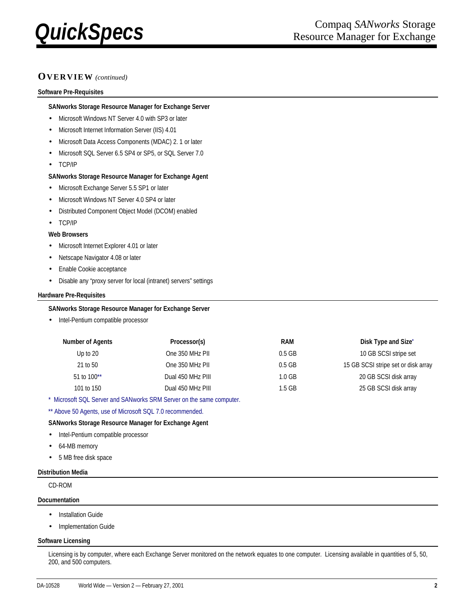

# **OVERVIEW** *(continued)*

#### **Software Pre-Requisites**

#### **SANworks Storage Resource Manager for Exchange Server**

- Microsoft Windows NT Server 4.0 with SP3 or later
- Microsoft Internet Information Server (IIS) 4.01
- Microsoft Data Access Components (MDAC) 2. 1 or later
- Microsoft SQL Server 6.5 SP4 or SP5, or SQL Server 7.0
- TCP/IP

#### **SANworks Storage Resource Manager for Exchange Agent**

- Microsoft Exchange Server 5.5 SP1 or later
- Microsoft Windows NT Server 4.0 SP4 or later
- Distributed Component Object Model (DCOM) enabled
- TCP/IP

#### **Web Browsers**

- Microsoft Internet Explorer 4.01 or later
- Netscape Navigator 4.08 or later
- Enable Cookie acceptance
- Disable any "proxy server for local (intranet) servers" settings

#### **Hardware Pre-Requisites**

#### **SANworks Storage Resource Manager for Exchange Server**

• Intel-Pentium compatible processor

| <b>Number of Agents</b> | Processor(s)      | RAM      | Disk Type and Size <sup>*</sup>     |
|-------------------------|-------------------|----------|-------------------------------------|
| Up to $20$              | One 350 MHz PII   | $0.5$ GB | 10 GB SCSI stripe set               |
| 21 to 50                | One 350 MHz PII   | $0.5$ GB | 15 GB SCSI stripe set or disk array |
| 51 to $100**$           | Dual 450 MHz PIII | 1.0 GB   | 20 GB SCSI disk array               |
| 101 to 150              | Dual 450 MHz PIII | $1.5$ GB | 25 GB SCSI disk array               |

\* Microsoft SQL Server and SANworks SRM Server on the same computer.

\*\* Above 50 Agents, use of Microsoft SQL 7.0 recommended.

### **SANworks Storage Resource Manager for Exchange Agent**

- Intel-Pentium compatible processor
- 64-MB memory
- 5 MB free disk space

#### **Distribution Media**

CD-ROM

#### **Documentation**

- Installation Guide
- Implementation Guide

#### **Software Licensing**

Licensing is by computer, where each Exchange Server monitored on the network equates to one computer. Licensing available in quantities of 5, 50, 200, and 500 computers.